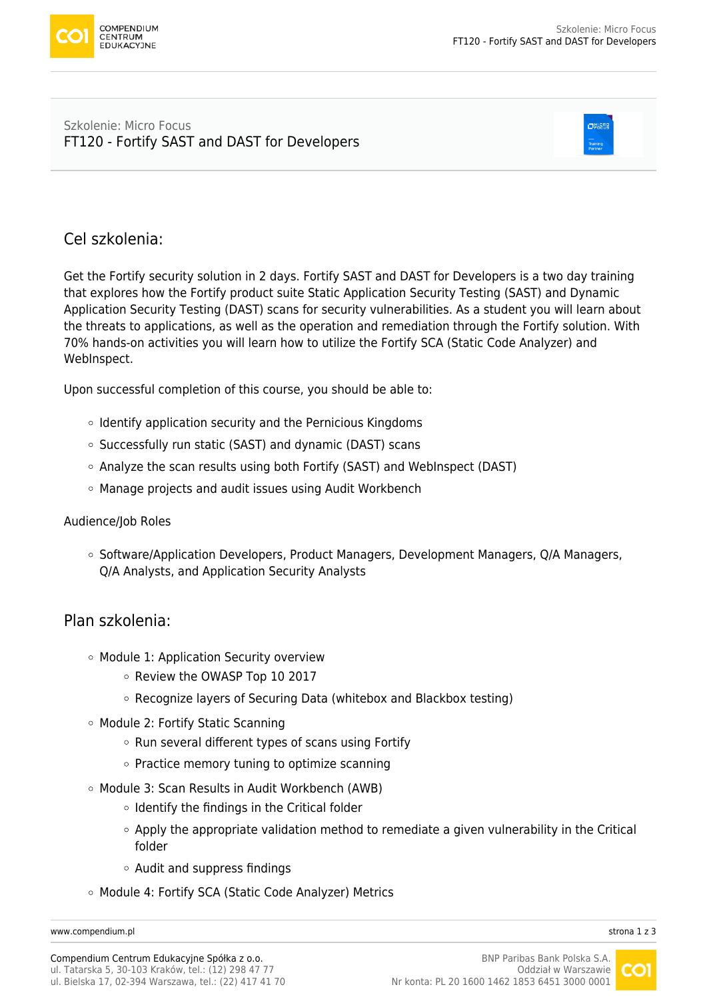

#### Szkolenie: Micro Focus [FT120 - Fortify SAST and DAST for Developers](https://www.compendium.pl/szkolenie/4592/szkolenie-autoryzowane-micro-focus-ft120-fortify-sast-and-dast-for-developers)



# Cel szkolenia:

Get the Fortify security solution in 2 days. Fortify SAST and DAST for Developers is a two day training that explores how the Fortify product suite Static Application Security Testing (SAST) and Dynamic Application Security Testing (DAST) scans for security vulnerabilities. As a student you will learn about the threats to applications, as well as the operation and remediation through the Fortify solution. With 70% hands-on activities you will learn how to utilize the Fortify SCA (Static Code Analyzer) and WebInspect.

Upon successful completion of this course, you should be able to:

- $\circ$  Identify application security and the Pernicious Kingdoms
- Successfully run static (SAST) and dynamic (DAST) scans
- Analyze the scan results using both Fortify (SAST) and WebInspect (DAST)
- Manage projects and audit issues using Audit Workbench

#### Audience/Job Roles

 $\circ$  Software/Application Developers, Product Managers, Development Managers, Q/A Managers, Q/A Analysts, and Application Security Analysts

### Plan szkolenia:

- Module 1: Application Security overview
	- Review the OWASP Top 10 2017
	- Recognize layers of Securing Data (whitebox and Blackbox testing)
- Module 2: Fortify Static Scanning
	- $\circ$  Run several different types of scans using Fortify
	- $\circ$  Practice memory tuning to optimize scanning
- Module 3: Scan Results in Audit Workbench (AWB)
	- $\circ$  Identify the findings in the Critical folder
	- Apply the appropriate validation method to remediate a given vulnerability in the Critical folder
	- $\circ$  Audit and suppress findings
- Module 4: Fortify SCA (Static Code Analyzer) Metrics

[www.compendium.pl](https://www.compendium.pl/) strona 1 z 3

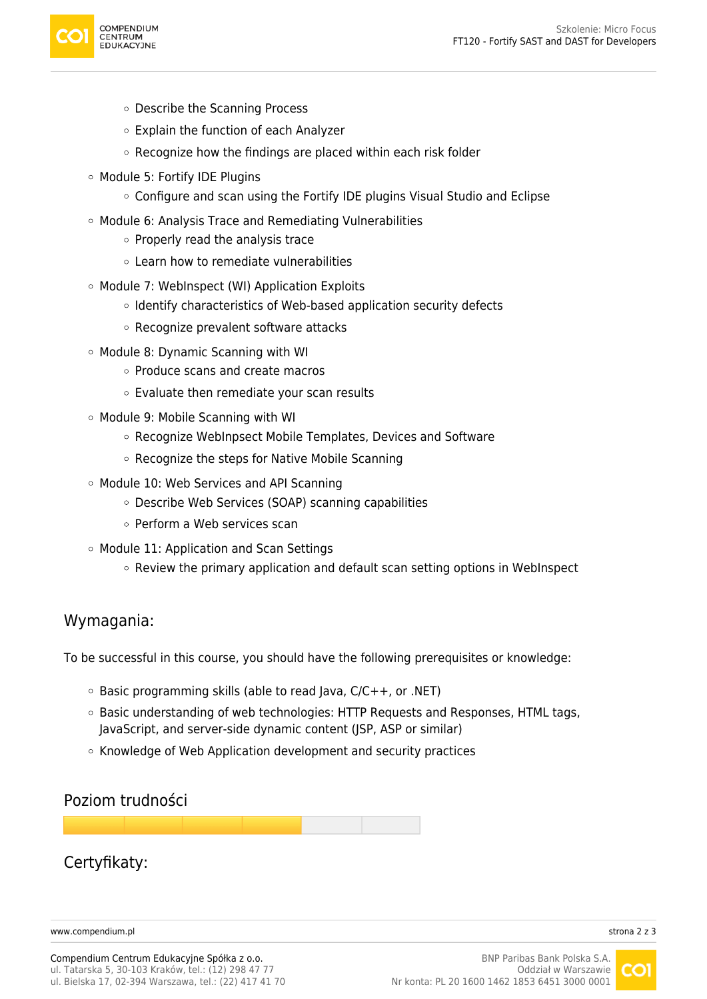

- Describe the Scanning Process
- Explain the function of each Analyzer
- $\circ$  Recognize how the findings are placed within each risk folder
- Module 5: Fortify IDE Plugins
	- Configure and scan using the Fortify IDE plugins Visual Studio and Eclipse
- Module 6: Analysis Trace and Remediating Vulnerabilities
	- $\circ$  Properly read the analysis trace
	- Learn how to remediate vulnerabilities
- Module 7: WebInspect (WI) Application Exploits
	- $\circ$  Identify characteristics of Web-based application security defects
	- $\circ$  Recognize prevalent software attacks
- Module 8: Dynamic Scanning with WI
	- Produce scans and create macros
	- Evaluate then remediate your scan results
- Module 9: Mobile Scanning with WI
	- Recognize WebInpsect Mobile Templates, Devices and Software
	- $\circ$  Recognize the steps for Native Mobile Scanning
- Module 10: Web Services and API Scanning
	- Describe Web Services (SOAP) scanning capabilities
	- o Perform a Web services scan
- Module 11: Application and Scan Settings
	- $\circ$  Review the primary application and default scan setting options in WebInspect

### Wymagania:

To be successful in this course, you should have the following prerequisites or knowledge:

- $\circ$  Basic programming skills (able to read Java, C/C++, or .NET)
- $\circ$  Basic understanding of web technologies: HTTP Requests and Responses, HTML tags, JavaScript, and server-side dynamic content (JSP, ASP or similar)
- o Knowledge of Web Application development and security practices

## Poziom trudności

## Certyfikaty:

[www.compendium.pl](https://www.compendium.pl/) strona 2 z 3